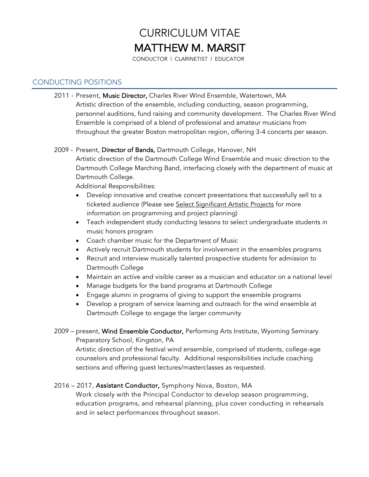# CURRICULUM VITAE MATTHEW M. MARSIT<br>CONDUCTOR | CLARINETIST | EDUCATOR

## CONDUCTING POSITIONS

2011 - Present, Music Director, Charles River Wind Ensemble, Watertown, MA Artistic direction of the ensemble, including conducting, season programming, personnel auditions, fund raising and community development. The Charles River Wind Ensemble is comprised of a blend of professional and amateur musicians from throughout the greater Boston metropolitan region, offering 3-4 concerts per season.

## 2009 - Present, Director of Bands, Dartmouth College, Hanover, NH

Artistic direction of the Dartmouth College Wind Ensemble and music direction to the Dartmouth College Marching Band, interfacing closely with the department of music at Dartmouth College.

Additional Responsibilities:

- Develop innovative and creative concert presentations that successfully sell to a ticketed audience (Please see Select Significant Artistic Projects for more information on programming and project planning)
- Teach independent study conducting lessons to select undergraduate students in music honors program
- Coach chamber music for the Department of Music
- Actively recruit Dartmouth students for involvement in the ensembles programs
- Recruit and interview musically talented prospective students for admission to Dartmouth College
- Maintain an active and visible career as a musician and educator on a national level
- Manage budgets for the band programs at Dartmouth College
- Engage alumni in programs of giving to support the ensemble programs
- Develop a program of service learning and outreach for the wind ensemble at Dartmouth College to engage the larger community
- 2009 present, Wind Ensemble Conductor, Performing Arts Institute, Wyoming Seminary Preparatory School, Kingston, PA

Artistic direction of the festival wind ensemble, comprised of students, college-age counselors and professional faculty. Additional responsibilities include coaching sections and offering guest lectures/masterclasses as requested.

## 2016 – 2017, Assistant Conductor, Symphony Nova, Boston, MA

Work closely with the Principal Conductor to develop season programming, education programs, and rehearsal planning, plus cover conducting in rehearsals and in select performances throughout season.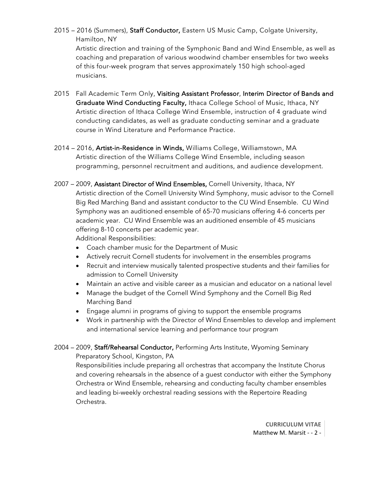- 2015 2016 (Summers), Staff Conductor, Eastern US Music Camp, Colgate University, Hamilton, NY Artistic direction and training of the Symphonic Band and Wind Ensemble, as well as coaching and preparation of various woodwind chamber ensembles for two weeks of this four-week program that serves approximately 150 high school-aged musicians.
- 2015 Fall Academic Term Only, Visiting Assistant Professor, Interim Director of Bands and Graduate Wind Conducting Faculty, Ithaca College School of Music, Ithaca, NY Artistic direction of Ithaca College Wind Ensemble, instruction of 4 graduate wind conducting candidates, as well as graduate conducting seminar and a graduate course in Wind Literature and Performance Practice.
- 2014 2016, Artist-in-Residence in Winds, Williams College, Williamstown, MA Artistic direction of the Williams College Wind Ensemble, including season programming, personnel recruitment and auditions, and audience development.
- 2007 2009, Assistant Director of Wind Ensembles, Cornell University, Ithaca, NY Artistic direction of the Cornell University Wind Symphony, music advisor to the Cornell Big Red Marching Band and assistant conductor to the CU Wind Ensemble. CU Wind Symphony was an auditioned ensemble of 65-70 musicians offering 4-6 concerts per academic year. CU Wind Ensemble was an auditioned ensemble of 45 musicians offering 8-10 concerts per academic year. Additional Responsibilities:
	- Coach chamber music for the Department of Music
	- Actively recruit Cornell students for involvement in the ensembles programs
	- Recruit and interview musically talented prospective students and their families for admission to Cornell University
	- Maintain an active and visible career as a musician and educator on a national level
	- Manage the budget of the Cornell Wind Symphony and the Cornell Big Red Marching Band
	- Engage alumni in programs of giving to support the ensemble programs
	- Work in partnership with the Director of Wind Ensembles to develop and implement and international service learning and performance tour program
- 2004 2009, Staff/Rehearsal Conductor, Performing Arts Institute, Wyoming Seminary

Preparatory School, Kingston, PA

Responsibilities include preparing all orchestras that accompany the Institute Chorus and covering rehearsals in the absence of a guest conductor with either the Symphony Orchestra or Wind Ensemble, rehearsing and conducting faculty chamber ensembles and leading bi-weekly orchestral reading sessions with the Repertoire Reading Orchestra.

> **CURRICULUM VITAE** Matthew M. Marsit - - 2 -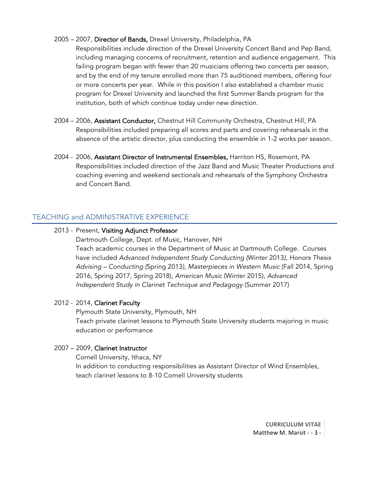## 2005 – 2007, Director of Bands, Drexel University, Philadelphia, PA

Responsibilities include direction of the Drexel University Concert Band and Pep Band, including managing concerns of recruitment, retention and audience engagement. This failing program began with fewer than 20 musicians offering two concerts per season, and by the end of my tenure enrolled more than 75 auditioned members, offering four or more concerts per year. While in this position I also established a chamber music program for Drexel University and launched the first Summer Bands program for the institution, both of which continue today under new direction.

- 2004 2006, Assistant Conductor, Chestnut Hill Community Orchestra, Chestnut Hill, PA Responsibilities included preparing all scores and parts and covering rehearsals in the absence of the artistic director, plus conducting the ensemble in 1-2 works per season.
- 2004 2006, Assistant Director of Instrumental Ensembles, Harriton HS, Rosemont, PA Responsibilities included direction of the Jazz Band and Music Theater Productions and coaching evening and weekend sectionals and rehearsals of the Symphony Orchestra and Concert Band.

## TEACHING and ADMINISTRATIVE EXPERIENCE

## 2013 - Present, Visiting Adjunct Professor

Dartmouth College, Dept. of Music, Hanover, NH Teach academic courses in the Department of Music at Dartmouth College. Courses have included *Advanced Independent Study Conducting (*Winter 2013*), Honors Thesis Advising – Conducting (*Spring 2013*), Masterpieces in Western Music* (Fall 2014, Spring 2016, Spring 2017, Spring 2018), *American Music* (Winter 2015), *Advanced Independent Study in Clarinet Technique and Pedagogy* (Summer 2017)

## 2012 - 2014, Clarinet Faculty

Plymouth State University, Plymouth, NH Teach private clarinet lessons to Plymouth State University students majoring in music education or performance

#### 2007 – 2009, Clarinet Instructor

 Cornell University, Ithaca, NY In addition to conducting responsibilities as Assistant Director of Wind Ensembles, teach clarinet lessons to 8-10 Cornell University students

> **CURRICULUM VITAE** Matthew M. Marsit - - 3 -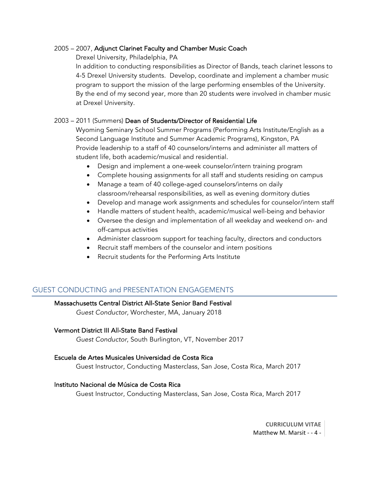## 2005 – 2007, Adjunct Clarinet Faculty and Chamber Music Coach

Drexel University, Philadelphia, PA

In addition to conducting responsibilities as Director of Bands, teach clarinet lessons to 4-5 Drexel University students. Develop, coordinate and implement a chamber music program to support the mission of the large performing ensembles of the University. By the end of my second year, more than 20 students were involved in chamber music at Drexel University.

## 2003 – 2011 (Summers) Dean of Students/Director of Residential Life

Wyoming Seminary School Summer Programs (Performing Arts Institute/English as a Second Language Institute and Summer Academic Programs), Kingston, PA Provide leadership to a staff of 40 counselors/interns and administer all matters of student life, both academic/musical and residential.

- Design and implement a one-week counselor/intern training program
- Complete housing assignments for all staff and students residing on campus
- Manage a team of 40 college-aged counselors/interns on daily classroom/rehearsal responsibilities, as well as evening dormitory duties
- Develop and manage work assignments and schedules for counselor/intern staff
- Handle matters of student health, academic/musical well-being and behavior
- Oversee the design and implementation of all weekday and weekend on- and off-campus activities
- Administer classroom support for teaching faculty, directors and conductors
- Recruit staff members of the counselor and intern positions
- Recruit students for the Performing Arts Institute

# GUEST CONDUCTING and PRESENTATION ENGAGEMENTS

## Massachusetts Central District All-State Senior Band Festival

*Guest Conductor,* Worchester, MA, January 2018

## Vermont District III All-State Band Festival

*Guest Conductor*, South Burlington, VT, November 2017

## Escuela de Artes Musicales Universidad de Costa Rica

Guest Instructor, Conducting Masterclass, San Jose, Costa Rica, March 2017

## Instituto Nacional de Música de Costa Rica

Guest Instructor, Conducting Masterclass, San Jose, Costa Rica, March 2017

**CURRICULUM VITAE** Matthew M. Marsit - - 4 -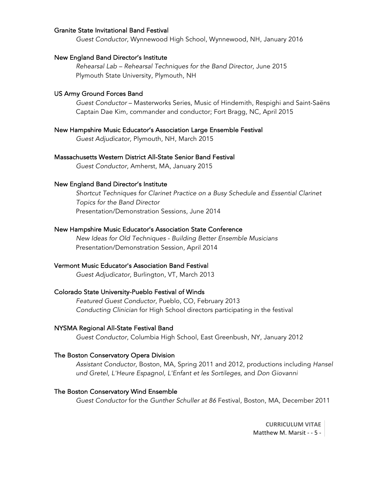#### Granite State Invitational Band Festival

*Guest Conductor,* Wynnewood High School, Wynnewood, NH, January 2016

#### New England Band Director's Institute

 *Rehearsal Lab – Rehearsal Techniques for the Band Director,* June 2015 Plymouth State University, Plymouth, NH

#### US Army Ground Forces Band

 *Guest Conductor* – Masterworks Series, Music of Hindemith, Respighi and Saint-Saëns Captain Dae Kim, commander and conductor; Fort Bragg, NC, April 2015

#### New Hampshire Music Educator's Association Large Ensemble Festival

*Guest Adjudicator,* Plymouth, NH, March 2015

#### Massachusetts Western District All-State Senior Band Festival

*Guest Conductor,* Amherst, MA, January 2015

#### New England Band Director's Institute

*Shortcut Techniques for Clarinet Practice on a Busy Schedule* and *Essential Clarinet Topics for the Band Director* Presentation/Demonstration Sessions, June 2014

#### New Hampshire Music Educator's Association State Conference

 *New Ideas for Old Techniques - Building Better Ensemble Musicians* Presentation/Demonstration Session, April 2014

#### Vermont Music Educator's Association Band Festival

*Guest Adjudicator,* Burlington, VT, March 2013

#### Colorado State University-Pueblo Festival of Winds

 *Featured Guest Conductor,* Pueblo, CO, February 2013 *Conducting Clinician* for High School directors participating in the festival

#### NYSMA Regional All-State Festival Band

*Guest Conductor,* Columbia High School, East Greenbush, NY, January 2012

#### The Boston Conservatory Opera Division

*Assistant Conductor,* Boston, MA, Spring 2011 and 2012, productions including *Hansel und Gretel*, *L'Heure Espagnol, L'Enfant et les Sortileges,* and *Don Giovanni*

#### The Boston Conservatory Wind Ensemble

*Guest Conductor* for the *Gunther Schuller at 86* Festival, Boston, MA, December 2011

**CURRICULUM VITAE** Matthew M. Marsit - - 5 -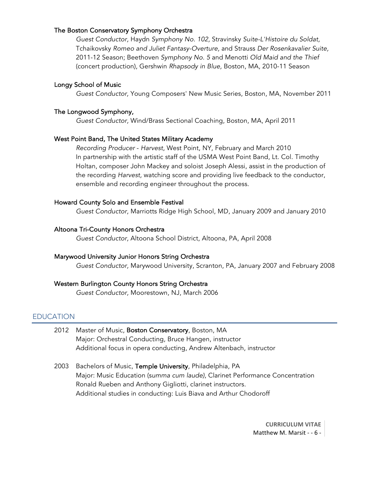#### The Boston Conservatory Symphony Orchestra

*Guest Conductor,* Haydn *Symphony No. 102,* Stravinsky *Suite-L'Histoire du Soldat,*  Tchaikovsky *Romeo and Juliet Fantasy-Overture,* and Strauss *Der Rosenkavalier Suite,*  2011-12 Season; Beethoven *Symphony No. 5* and Menotti *Old Maid and the Thief*  (concert production), Gershwin *Rhapsody in Blue,* Boston, MA, 2010-11 Season

#### Longy School of Music

*Guest Conductor,* Young Composers' New Music Series, Boston, MA, November 2011

#### The Longwood Symphony,

*Guest Conductor,* Wind/Brass Sectional Coaching, Boston, MA, April 2011

#### West Point Band, The United States Military Academy

 *Recording Producer* - *Harvest*, West Point, NY, February and March 2010 In partnership with the artistic staff of the USMA West Point Band, Lt. Col. Timothy Holtan, composer John Mackey and soloist Joseph Alessi, assist in the production of the recording *Harvest,* watching score and providing live feedback to the conductor, ensemble and recording engineer throughout the process.

#### Howard County Solo and Ensemble Festival

*Guest Conductor,* Marriotts Ridge High School, MD, January 2009 and January 2010

#### Altoona Tri-County Honors Orchestra

*Guest Conductor,* Altoona School District, Altoona, PA, April 2008

#### Marywood University Junior Honors String Orchestra

*Guest Conductor,* Marywood University, Scranton, PA, January 2007 and February 2008

#### Western Burlington County Honors String Orchestra

*Guest Conductor,* Moorestown, NJ, March 2006

#### **EDUCATION**

- 2012 Master of Music, Boston Conservatory, Boston, MA Major: Orchestral Conducting, Bruce Hangen, instructor Additional focus in opera conducting, Andrew Altenbach, instructor
- 2003 Bachelors of Music, Temple University, Philadelphia, PA Major: Music Education (s*umma cum laude)*, Clarinet Performance Concentration Ronald Rueben and Anthony Gigliotti, clarinet instructors. Additional studies in conducting: Luis Biava and Arthur Chodoroff

**CURRICULUM VITAE** Matthew M. Marsit - - 6 -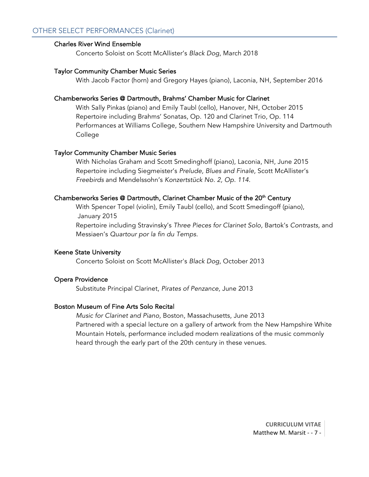## Charles River Wind Ensemble

Concerto Soloist on Scott McAllister's *Black Dog*, March 2018

## Taylor Community Chamber Music Series

With Jacob Factor (horn) and Gregory Hayes (piano), Laconia, NH, September 2016

## Chamberworks Series @ Dartmouth, Brahms' Chamber Music for Clarinet

 With Sally Pinkas (piano) and Emily Taubl (cello), Hanover, NH, October 2015 Repertoire including Brahms' Sonatas, Op. 120 and Clarinet Trio, Op. 114 Performances at Williams College, Southern New Hampshire University and Dartmouth College

## Taylor Community Chamber Music Series

With Nicholas Graham and Scott Smedinghoff (piano), Laconia, NH, June 2015 Repertoire including Siegmeister's *Prelude, Blues and Finale,* Scott McAllister's *Freebirds* and Mendelssohn's *Konzertstück No. 2, Op. 114.*

## Chamberworks Series @ Dartmouth, Clarinet Chamber Music of the 20<sup>th</sup> Century

 With Spencer Topel (violin), Emily Taubl (cello), and Scott Smedingoff (piano), January 2015

Repertoire including Stravinsky's *Three Pieces for Clarinet Solo,* Bartok's *Contrasts,* and Messiaen's *Quartour por la fin du Temps.*

## Keene State University

Concerto Soloist on Scott McAllister's *Black Dog,* October 2013

## Opera Providence

Substitute Principal Clarinet, *Pirates of Penzance,* June 2013

## Boston Museum of Fine Arts Solo Recital

 *Music for Clarinet and Piano,* Boston, Massachusetts, June 2013 Partnered with a special lecture on a gallery of artwork from the New Hampshire White Mountain Hotels, performance included modern realizations of the music commonly heard through the early part of the 20th century in these venues.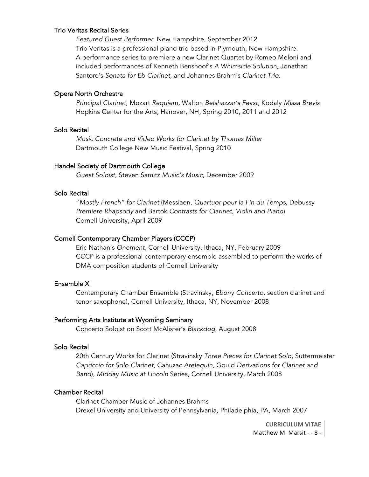#### Trio Veritas Recital Series

 *Featured Guest Performer,* New Hampshire, September 2012 Trio Veritas is a professional piano trio based in Plymouth, New Hampshire. A performance series to premiere a new Clarinet Quartet by Romeo Meloni and included performances of Kenneth Benshoof's *A Whimsicle Solution,* Jonathan Santore's *Sonata for Eb Clarinet,* and Johannes Brahm's *Clarinet Trio.*

#### Opera North Orchestra

*Principal Clarinet*, Mozart *Requiem,* Walton *Belshazzar's Feast,* Kodaly *Missa Brevis* Hopkins Center for the Arts, Hanover, NH, Spring 2010, 2011 and 2012

#### Solo Recital

*Music Concrete and Video Works for Clarinet by Thomas Miller* Dartmouth College New Music Festival, Spring 2010

#### Handel Society of Dartmouth College

*Guest Soloist*, Steven Samitz *Music's Music*, December 2009

#### Solo Recital

"*Mostly French" for Clarinet* (Messiaen, *Quartuor pour la Fin du Temps,* Debussy *Premiere Rhapsody* and Bartok *Contrasts for Clarinet, Violin and Piano*) Cornell University, April 2009

#### Cornell Contemporary Chamber Players (CCCP)

Eric Nathan's *Onement,* Cornell University, Ithaca, NY, February 2009 CCCP is a professional contemporary ensemble assembled to perform the works of DMA composition students of Cornell University

#### Ensemble X

Contemporary Chamber Ensemble (Stravinsky, *Ebony Concerto,* section clarinet and tenor saxophone), Cornell University, Ithaca, NY, November 2008

#### Performing Arts Institute at Wyoming Seminary

Concerto Soloist on Scott McAlister's *Blackdog*, August 2008

#### Solo Recital

20th Century Works for Clarinet (Stravinsky *Three Pieces for Clarinet Solo*, Suttermeister *Capriccio for Solo Clarinet*, Cahuzac *Arelequin*, Gould *Derivations for Clarinet and Band*), *Midday Music at Lincoln* Series, Cornell University, March 2008

#### Chamber Recital

Clarinet Chamber Music of Johannes Brahms Drexel University and University of Pennsylvania, Philadelphia, PA, March 2007

> **CURRICULUM VITAE** Matthew M. Marsit - - 8 -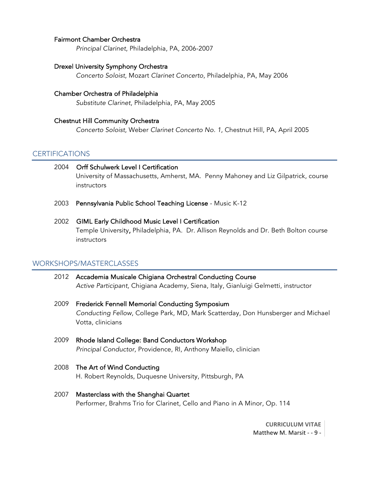#### Fairmont Chamber Orchestra

*Principal Clarinet*, Philadelphia, PA, 2006-2007

#### Drexel University Symphony Orchestra

*Concerto Soloist*, Mozart *Clarinet Concerto*, Philadelphia, PA, May 2006

## Chamber Orchestra of Philadelphia *Substitute Clarinet*, Philadelphia, PA, May 2005

## Chestnut Hill Community Orchestra *Concerto Soloist*, Weber *Clarinet Concerto No. 1*, Chestnut Hill, PA, April 2005

#### **CERTIFICATIONS**

## 2004 Orff Schulwerk Level I Certification University of Massachusetts, Amherst, MA. Penny Mahoney and Liz Gilpatrick, course instructors

2003 Pennsylvania Public School Teaching License - Music K-12

## 2002 GIML Early Childhood Music Level I Certification Temple University, Philadelphia, PA. Dr. Allison Reynolds and Dr. Beth Bolton course instructors

## WORKSHOPS/MASTERCLASSES

- 2012 Accademia Musicale Chigiana Orchestral Conducting Course *Active Participant,* Chigiana Academy, Siena, Italy, Gianluigi Gelmetti, instructor
- 2009 Frederick Fennell Memorial Conducting Symposium *Conducting Fellow*, College Park, MD, Mark Scatterday, Don Hunsberger and Michael Votta, clinicians
- 2009 Rhode Island College: Band Conductors Workshop *Principal Conductor,* Providence, RI, Anthony Maiello, clinician
- 2008 The Art of Wind Conducting H. Robert Reynolds, Duquesne University, Pittsburgh, PA
- 2007 Masterclass with the Shanghai Quartet Performer, Brahms Trio for Clarinet, Cello and Piano in A Minor, Op. 114

**CURRICULUM VITAE** Matthew M. Marsit - - 9 -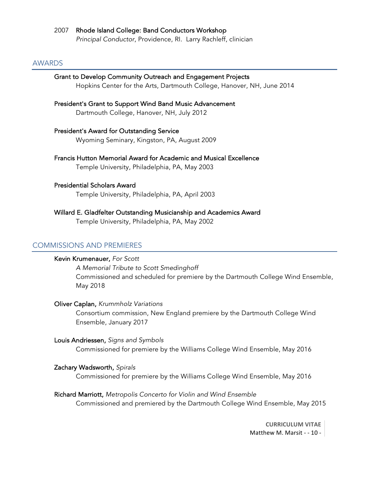## 2007 Rhode Island College: Band Conductors Workshop

*Principal Conductor*, Providence, RI. Larry Rachleff, clinician

#### AWARDS

#### Grant to Develop Community Outreach and Engagement Projects

Hopkins Center for the Arts, Dartmouth College, Hanover, NH, June 2014

## President's Grant to Support Wind Band Music Advancement

Dartmouth College, Hanover, NH, July 2012

#### President's Award for Outstanding Service

Wyoming Seminary, Kingston, PA, August 2009

## Francis Hutton Memorial Award for Academic and Musical Excellence Temple University, Philadelphia, PA, May 2003

## Presidential Scholars Award

Temple University, Philadelphia, PA, April 2003

# Willard E. Gladfelter Outstanding Musicianship and Academics Award

Temple University, Philadelphia, PA, May 2002

## COMMISSIONS AND PREMIERES

## Kevin Krumenauer, *For Scott*

*A Memorial Tribute to Scott Smedinghoff* Commissioned and scheduled for premiere by the Dartmouth College Wind Ensemble, May 2018

#### Oliver Caplan, *Krummholz Variations*

Consortium commission, New England premiere by the Dartmouth College Wind Ensemble, January 2017

#### Louis Andriessen, *Signs and Symbols*

Commissioned for premiere by the Williams College Wind Ensemble, May 2016

#### Zachary Wadsworth, *Spirals*

Commissioned for premiere by the Williams College Wind Ensemble, May 2016

#### Richard Marriott, *Metropolis Concerto for Violin and Wind Ensemble*

Commissioned and premiered by the Dartmouth College Wind Ensemble, May 2015

**CURRICULUM VITAE** Matthew M. Marsit - - 10 -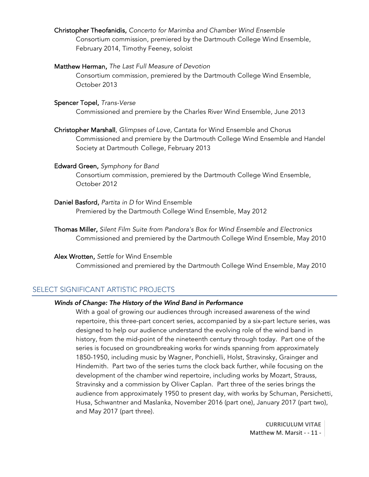Christopher Theofanidis, *Concerto for Marimba and Chamber Wind Ensemble* Consortium commission, premiered by the Dartmouth College Wind Ensemble, February 2014, Timothy Feeney, soloist

## Matthew Herman, *The Last Full Measure of Devotion*

Consortium commission, premiered by the Dartmouth College Wind Ensemble, October 2013

#### Spencer Topel, *Trans-Verse*

Commissioned and premiere by the Charles River Wind Ensemble, June 2013

 Christopher Marshall, *Glimpses of Love,* Cantata for Wind Ensemble and Chorus Commissioned and premiere by the Dartmouth College Wind Ensemble and Handel Society at Dartmouth College, February 2013

#### Edward Green, *Symphony for Band*

Consortium commission, premiered by the Dartmouth College Wind Ensemble, October 2012

#### Daniel Basford, *Partita in D* for Wind Ensemble

Premiered by the Dartmouth College Wind Ensemble, May 2012

Thomas Miller, *Silent Film Suite from Pandora's Box for Wind Ensemble and Electronics* Commissioned and premiered by the Dartmouth College Wind Ensemble, May 2010

#### Alex Wrotten, *Settle* for Wind Ensemble Commissioned and premiered by the Dartmouth College Wind Ensemble, May 2010

## SELECT SIGNIFICANT ARTISTIC PROJECTS

#### *Winds of Change: The History of the Wind Band in Performance*

With a goal of growing our audiences through increased awareness of the wind repertoire, this three-part concert series, accompanied by a six-part lecture series, was designed to help our audience understand the evolving role of the wind band in history, from the mid-point of the nineteenth century through today. Part one of the series is focused on groundbreaking works for winds spanning from approximately 1850-1950, including music by Wagner, Ponchielli, Holst, Stravinsky, Grainger and Hindemith. Part two of the series turns the clock back further, while focusing on the development of the chamber wind repertoire, including works by Mozart, Strauss, Stravinsky and a commission by Oliver Caplan. Part three of the series brings the audience from approximately 1950 to present day, with works by Schuman, Persichetti, Husa, Schwantner and Maslanka, November 2016 (part one), January 2017 (part two), and May 2017 (part three).

> **CURRICULUM VITAE** Matthew M. Marsit - - 11 -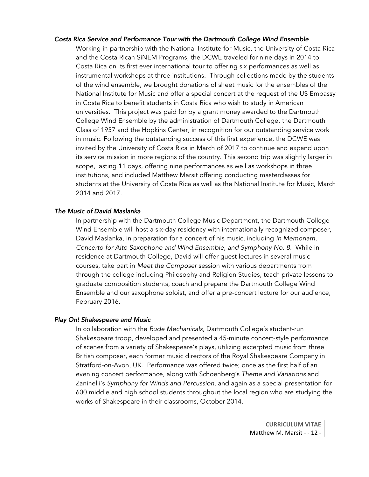#### *Costa Rica Service and Performance Tour with the Dartmouth College Wind Ensemble*

Working in partnership with the National Institute for Music, the University of Costa Rica and the Costa Rican SiNEM Programs, the DCWE traveled for nine days in 2014 to Costa Rica on its first ever international tour to offering six performances as well as instrumental workshops at three institutions. Through collections made by the students of the wind ensemble, we brought donations of sheet music for the ensembles of the National Institute for Music and offer a special concert at the request of the US Embassy in Costa Rica to benefit students in Costa Rica who wish to study in American universities. This project was paid for by a grant money awarded to the Dartmouth College Wind Ensemble by the administration of Dartmouth College, the Dartmouth Class of 1957 and the Hopkins Center, in recognition for our outstanding service work in music. Following the outstanding success of this first experience, the DCWE was invited by the University of Costa Rica in March of 2017 to continue and expand upon its service mission in more regions of the country. This second trip was slightly larger in scope, lasting 11 days, offering nine performances as well as workshops in three institutions, and included Matthew Marsit offering conducting masterclasses for students at the University of Costa Rica as well as the National Institute for Music, March 2014 and 2017.

#### *The Music of David Maslanka*

In partnership with the Dartmouth College Music Department, the Dartmouth College Wind Ensemble will host a six-day residency with internationally recognized composer, David Maslanka, in preparation for a concert of his music, including *In Memoriam, Concerto for Alto Saxophone and Wind Ensemble, and Symphony No. 8.* While in residence at Dartmouth College, David will offer guest lectures in several music courses, take part in *Meet the Composer* session with various departments from through the college including Philosophy and Religion Studies, teach private lessons to graduate composition students, coach and prepare the Dartmouth College Wind Ensemble and our saxophone soloist, and offer a pre-concert lecture for our audience, February 2016.

#### *Play On! Shakespeare and Music*

In collaboration with the *Rude Mechanicals,* Dartmouth College's student-run Shakespeare troop, developed and presented a 45-minute concert-style performance of scenes from a variety of Shakespeare's plays, utilizing excerpted music from three British composer, each former music directors of the Royal Shakespeare Company in Stratford-on-Avon, UK. Performance was offered twice; once as the first half of an evening concert performance, along with Schoenberg's *Theme and Variations* and Zaninelli's *Symphony for Winds and Percussion*, and again as a special presentation for 600 middle and high school students throughout the local region who are studying the works of Shakespeare in their classrooms, October 2014.

> **CURRICULUM VITAE** Matthew M. Marsit - - 12 -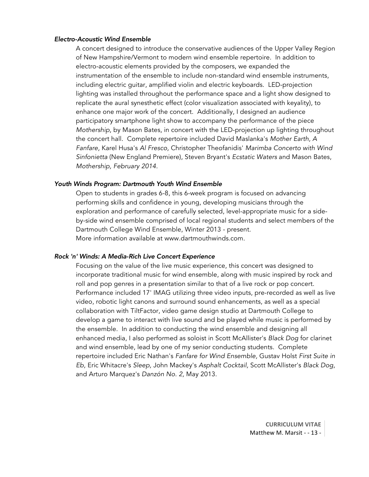#### *Electro-Acoustic Wind Ensemble*

A concert designed to introduce the conservative audiences of the Upper Valley Region of New Hampshire/Vermont to modern wind ensemble repertoire. In addition to electro-acoustic elements provided by the composers, we expanded the instrumentation of the ensemble to include non-standard wind ensemble instruments, including electric guitar, amplified violin and electric keyboards. LED-projection lighting was installed throughout the performance space and a light show designed to replicate the aural synesthetic effect (color visualization associated with keyality), to enhance one major work of the concert. Additionally, I designed an audience participatory smartphone light show to accompany the performance of the piece *Mothership*, by Mason Bates, in concert with the LED-projection up lighting throughout the concert hall. Complete repertoire included David Maslanka's *Mother Earth, A Fanfare,* Karel Husa's *Al Fresco,* Christopher Theofanidis' *Marimba Concerto with Wind Sinfonietta* (New England Premiere), Steven Bryant's *Ecstatic Waters* and Mason Bates, *Mothership, February 2014.*

#### *Youth Winds Program: Dartmouth Youth Wind Ensemble*

Open to students in grades 6-8, this 6-week program is focused on advancing performing skills and confidence in young, developing musicians through the exploration and performance of carefully selected, level-appropriate music for a sideby-side wind ensemble comprised of local regional students and select members of the Dartmouth College Wind Ensemble, Winter 2013 - present. More information available at www.dartmouthwinds.com.

#### *Rock 'n' Winds: A Media-Rich Live Concert Experience*

Focusing on the value of the live music experience, this concert was designed to incorporate traditional music for wind ensemble, along with music inspired by rock and roll and pop genres in a presentation similar to that of a live rock or pop concert. Performance included 17' IMAG utilizing three video inputs, pre-recorded as well as live video, robotic light canons and surround sound enhancements, as well as a special collaboration with TiltFactor, video game design studio at Dartmouth College to develop a game to interact with live sound and be played while music is performed by the ensemble. In addition to conducting the wind ensemble and designing all enhanced media, I also performed as soloist in Scott McAllister's *Black Dog* for clarinet and wind ensemble, lead by one of my senior conducting students. Complete repertoire included Eric Nathan's *Fanfare for Wind Ensemble,* Gustav Holst *First Suite in Eb,* Eric Whitacre's *Sleep,* John Mackey's *Asphalt Cocktail,* Scott McAllister's *Black Dog,*  and Arturo Marquez's *Danzón No. 2,* May 2013.